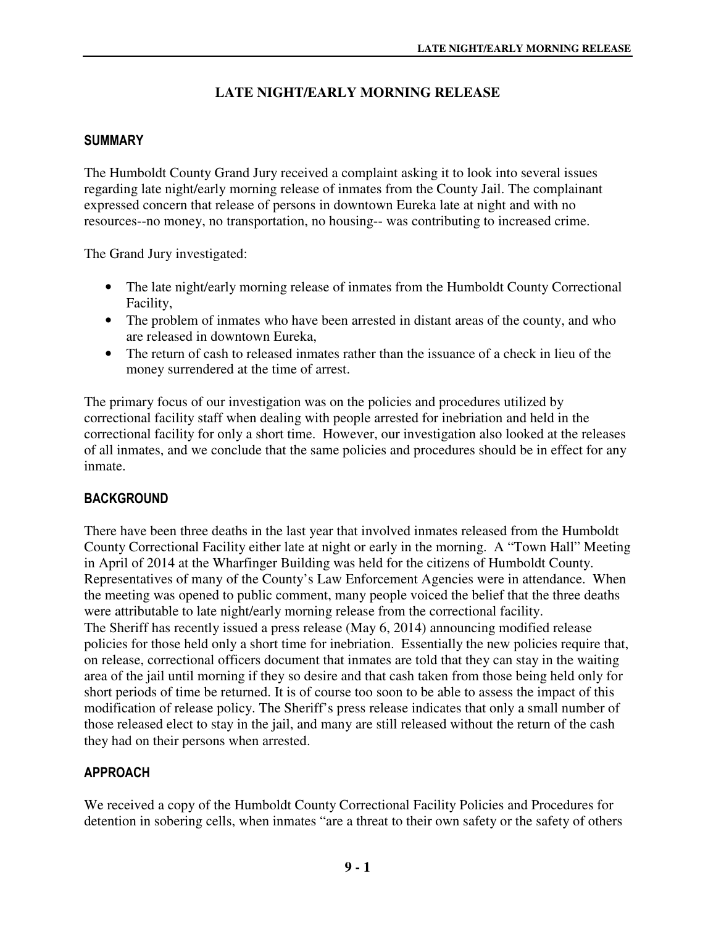# **LATE NIGHT/EARLY MORNING RELEASE**

### SUMMARY

The Humboldt County Grand Jury received a complaint asking it to look into several issues regarding late night/early morning release of inmates from the County Jail. The complainant expressed concern that release of persons in downtown Eureka late at night and with no resources--no money, no transportation, no housing-- was contributing to increased crime.

The Grand Jury investigated:

- The late night/early morning release of inmates from the Humboldt County Correctional Facility,
- The problem of inmates who have been arrested in distant areas of the county, and who are released in downtown Eureka,
- The return of cash to released inmates rather than the issuance of a check in lieu of the money surrendered at the time of arrest.

The primary focus of our investigation was on the policies and procedures utilized by correctional facility staff when dealing with people arrested for inebriation and held in the correctional facility for only a short time. However, our investigation also looked at the releases of all inmates, and we conclude that the same policies and procedures should be in effect for any inmate.

# **BACKGROUND**

There have been three deaths in the last year that involved inmates released from the Humboldt County Correctional Facility either late at night or early in the morning. A "Town Hall" Meeting in April of 2014 at the Wharfinger Building was held for the citizens of Humboldt County. Representatives of many of the County's Law Enforcement Agencies were in attendance. When the meeting was opened to public comment, many people voiced the belief that the three deaths were attributable to late night/early morning release from the correctional facility. The Sheriff has recently issued a press release (May 6, 2014) announcing modified release policies for those held only a short time for inebriation. Essentially the new policies require that, on release, correctional officers document that inmates are told that they can stay in the waiting area of the jail until morning if they so desire and that cash taken from those being held only for short periods of time be returned. It is of course too soon to be able to assess the impact of this modification of release policy. The Sheriff's press release indicates that only a small number of those released elect to stay in the jail, and many are still released without the return of the cash they had on their persons when arrested.

#### APPROACH

We received a copy of the Humboldt County Correctional Facility Policies and Procedures for detention in sobering cells, when inmates "are a threat to their own safety or the safety of others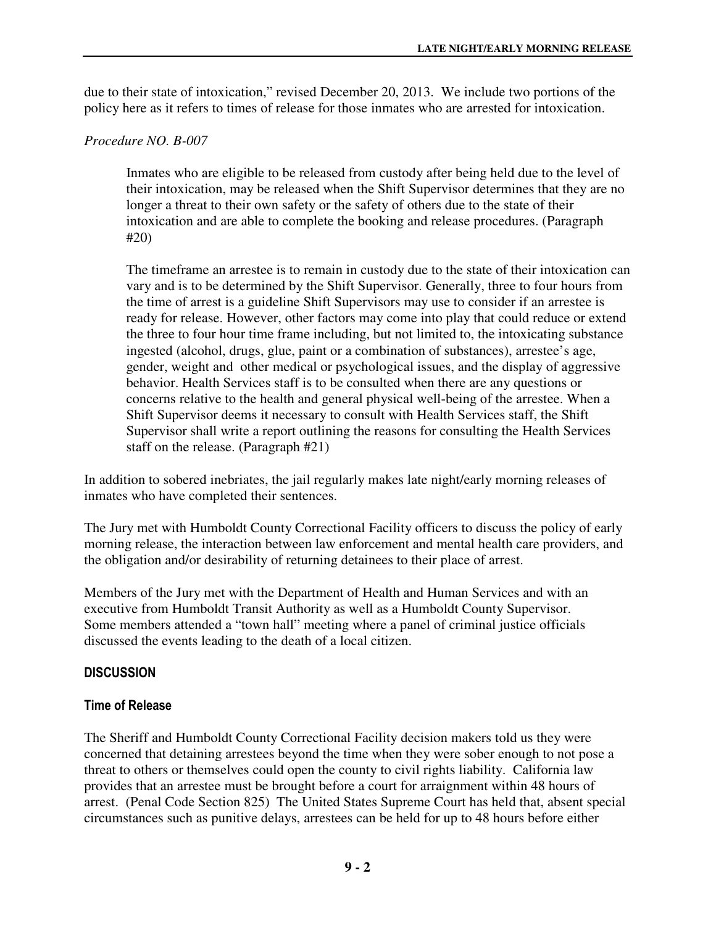due to their state of intoxication," revised December 20, 2013. We include two portions of the policy here as it refers to times of release for those inmates who are arrested for intoxication.

### *Procedure NO. B-007*

Inmates who are eligible to be released from custody after being held due to the level of their intoxication, may be released when the Shift Supervisor determines that they are no longer a threat to their own safety or the safety of others due to the state of their intoxication and are able to complete the booking and release procedures. (Paragraph #20)

The timeframe an arrestee is to remain in custody due to the state of their intoxication can vary and is to be determined by the Shift Supervisor. Generally, three to four hours from the time of arrest is a guideline Shift Supervisors may use to consider if an arrestee is ready for release. However, other factors may come into play that could reduce or extend the three to four hour time frame including, but not limited to, the intoxicating substance ingested (alcohol, drugs, glue, paint or a combination of substances), arrestee's age, gender, weight and other medical or psychological issues, and the display of aggressive behavior. Health Services staff is to be consulted when there are any questions or concerns relative to the health and general physical well-being of the arrestee. When a Shift Supervisor deems it necessary to consult with Health Services staff, the Shift Supervisor shall write a report outlining the reasons for consulting the Health Services staff on the release. (Paragraph #21)

In addition to sobered inebriates, the jail regularly makes late night/early morning releases of inmates who have completed their sentences.

The Jury met with Humboldt County Correctional Facility officers to discuss the policy of early morning release, the interaction between law enforcement and mental health care providers, and the obligation and/or desirability of returning detainees to their place of arrest.

Members of the Jury met with the Department of Health and Human Services and with an executive from Humboldt Transit Authority as well as a Humboldt County Supervisor. Some members attended a "town hall" meeting where a panel of criminal justice officials discussed the events leading to the death of a local citizen.

# **DISCUSSION**

# Time of Release

The Sheriff and Humboldt County Correctional Facility decision makers told us they were concerned that detaining arrestees beyond the time when they were sober enough to not pose a threat to others or themselves could open the county to civil rights liability. California law provides that an arrestee must be brought before a court for arraignment within 48 hours of arrest. (Penal Code Section 825) The United States Supreme Court has held that, absent special circumstances such as punitive delays, arrestees can be held for up to 48 hours before either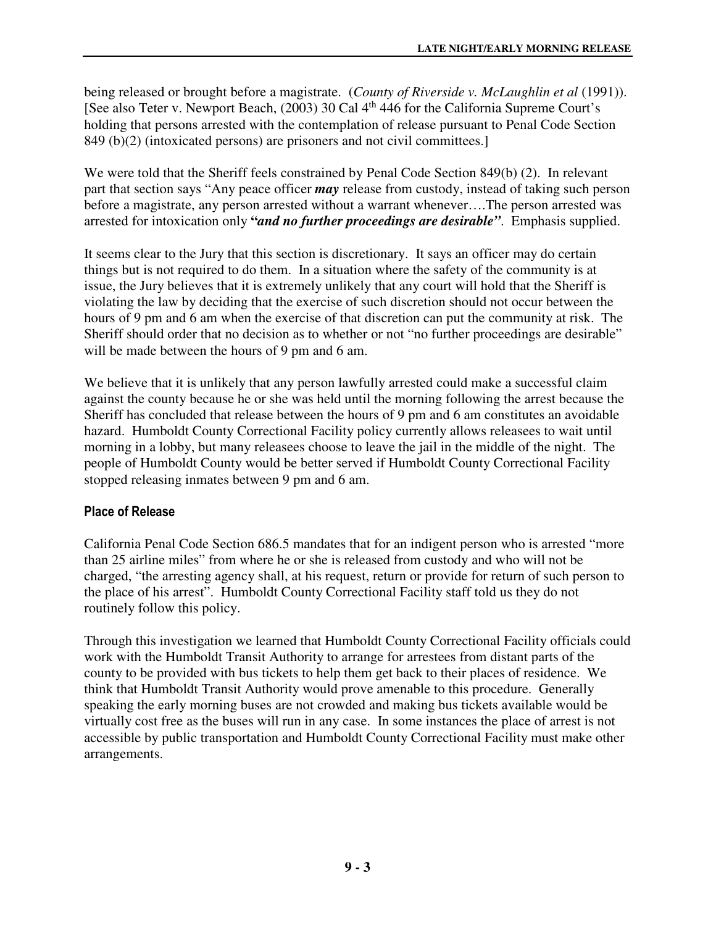being released or brought before a magistrate. (*County of Riverside v. McLaughlin et al* (1991)). [See also Teter v. Newport Beach, (2003) 30 Cal 4<sup>th</sup> 446 for the California Supreme Court's holding that persons arrested with the contemplation of release pursuant to Penal Code Section 849 (b)(2) (intoxicated persons) are prisoners and not civil committees.]

We were told that the Sheriff feels constrained by Penal Code Section 849(b) (2). In relevant part that section says "Any peace officer *may* release from custody, instead of taking such person before a magistrate, any person arrested without a warrant whenever….The person arrested was arrested for intoxication only **"***and no further proceedings are desirable"*. Emphasis supplied.

It seems clear to the Jury that this section is discretionary. It says an officer may do certain things but is not required to do them. In a situation where the safety of the community is at issue, the Jury believes that it is extremely unlikely that any court will hold that the Sheriff is violating the law by deciding that the exercise of such discretion should not occur between the hours of 9 pm and 6 am when the exercise of that discretion can put the community at risk. The Sheriff should order that no decision as to whether or not "no further proceedings are desirable" will be made between the hours of 9 pm and 6 am.

We believe that it is unlikely that any person lawfully arrested could make a successful claim against the county because he or she was held until the morning following the arrest because the Sheriff has concluded that release between the hours of 9 pm and 6 am constitutes an avoidable hazard. Humboldt County Correctional Facility policy currently allows releasees to wait until morning in a lobby, but many releasees choose to leave the jail in the middle of the night. The people of Humboldt County would be better served if Humboldt County Correctional Facility stopped releasing inmates between 9 pm and 6 am.

#### Place of Release

California Penal Code Section 686.5 mandates that for an indigent person who is arrested "more than 25 airline miles" from where he or she is released from custody and who will not be charged, "the arresting agency shall, at his request, return or provide for return of such person to the place of his arrest". Humboldt County Correctional Facility staff told us they do not routinely follow this policy.

Through this investigation we learned that Humboldt County Correctional Facility officials could work with the Humboldt Transit Authority to arrange for arrestees from distant parts of the county to be provided with bus tickets to help them get back to their places of residence. We think that Humboldt Transit Authority would prove amenable to this procedure. Generally speaking the early morning buses are not crowded and making bus tickets available would be virtually cost free as the buses will run in any case. In some instances the place of arrest is not accessible by public transportation and Humboldt County Correctional Facility must make other arrangements.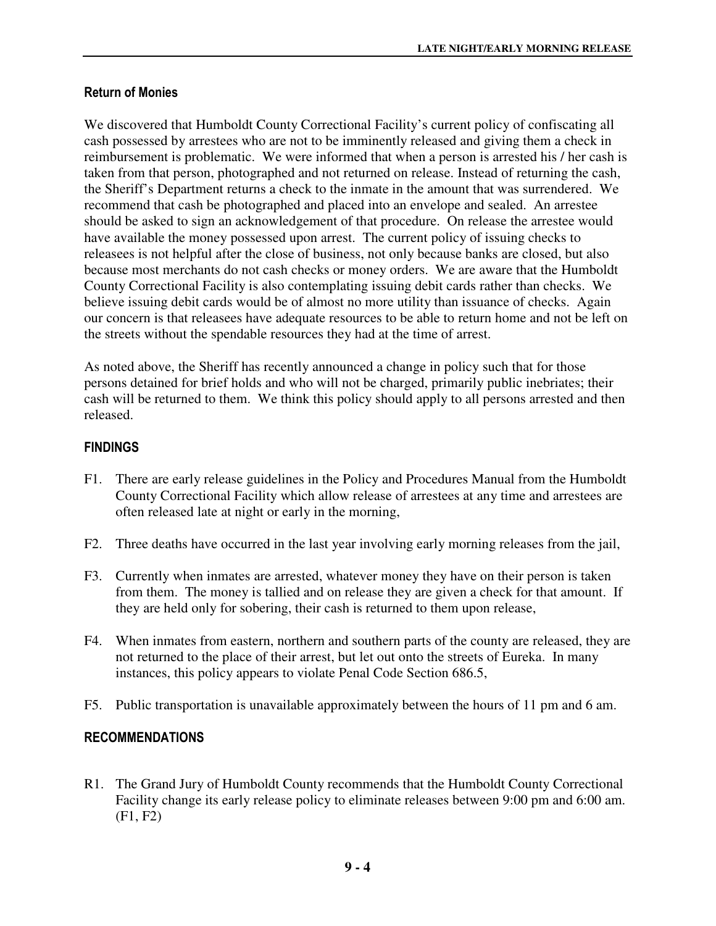#### Return of Monies

We discovered that Humboldt County Correctional Facility's current policy of confiscating all cash possessed by arrestees who are not to be imminently released and giving them a check in reimbursement is problematic. We were informed that when a person is arrested his / her cash is taken from that person, photographed and not returned on release. Instead of returning the cash, the Sheriff's Department returns a check to the inmate in the amount that was surrendered. We recommend that cash be photographed and placed into an envelope and sealed. An arrestee should be asked to sign an acknowledgement of that procedure. On release the arrestee would have available the money possessed upon arrest. The current policy of issuing checks to releasees is not helpful after the close of business, not only because banks are closed, but also because most merchants do not cash checks or money orders. We are aware that the Humboldt County Correctional Facility is also contemplating issuing debit cards rather than checks. We believe issuing debit cards would be of almost no more utility than issuance of checks. Again our concern is that releasees have adequate resources to be able to return home and not be left on the streets without the spendable resources they had at the time of arrest.

As noted above, the Sheriff has recently announced a change in policy such that for those persons detained for brief holds and who will not be charged, primarily public inebriates; their cash will be returned to them. We think this policy should apply to all persons arrested and then released.

#### FINDINGS

- F1. There are early release guidelines in the Policy and Procedures Manual from the Humboldt County Correctional Facility which allow release of arrestees at any time and arrestees are often released late at night or early in the morning,
- F2. Three deaths have occurred in the last year involving early morning releases from the jail,
- F3. Currently when inmates are arrested, whatever money they have on their person is taken from them. The money is tallied and on release they are given a check for that amount. If they are held only for sobering, their cash is returned to them upon release,
- F4. When inmates from eastern, northern and southern parts of the county are released, they are not returned to the place of their arrest, but let out onto the streets of Eureka. In many instances, this policy appears to violate Penal Code Section 686.5,
- F5. Public transportation is unavailable approximately between the hours of 11 pm and 6 am.

#### RECOMMENDATIONS

R1. The Grand Jury of Humboldt County recommends that the Humboldt County Correctional Facility change its early release policy to eliminate releases between 9:00 pm and 6:00 am. (F1, F2)